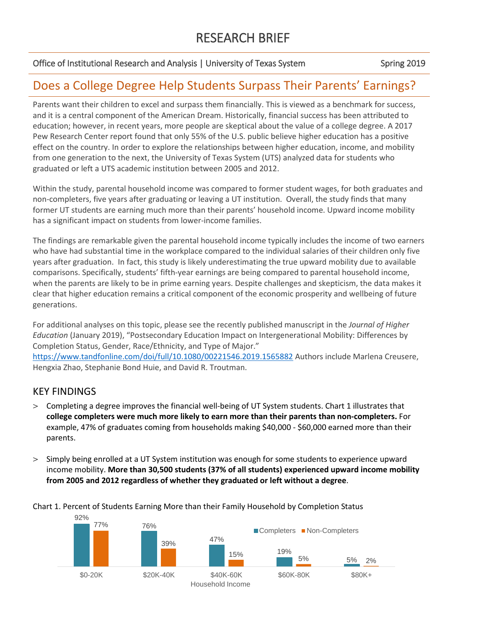Office of Institutional Research and Analysis | University of Texas System Spring 2019

## Does a College Degree Help Students Surpass Their Parents' Earnings?

Parents want their children to excel and surpass them financially. This is viewed as a benchmark for success, and it is a central component of the American Dream. Historically, financial success has been attributed to education; however, in recent years, more people are skeptical about the value of a college degree. A 2017 Pew Research Center report found that only 55% of the U.S. public believe higher education has a positive effect on the country. In order to explore the relationships between higher education, income, and mobility from one generation to the next, the University of Texas System (UTS) analyzed data for students who graduated or left a UTS academic institution between 2005 and 2012.

Within the study, parental household income was compared to former student wages, for both graduates and non-completers, five years after graduating or leaving a UT institution. Overall, the study finds that many former UT students are earning much more than their parents' household income. Upward income mobility has a significant impact on students from lower-income families.

The findings are remarkable given the parental household income typically includes the income of two earners who have had substantial time in the workplace compared to the individual salaries of their children only five years after graduation. In fact, this study is likely underestimating the true upward mobility due to available comparisons. Specifically, students' fifth-year earnings are being compared to parental household income, when the parents are likely to be in prime earning years. Despite challenges and skepticism, the data makes it clear that higher education remains a critical component of the economic prosperity and wellbeing of future generations.

For additional analyses on this topic, please see the recently published manuscript in the *Journal of Higher Education* (January 2019), "Postsecondary Education Impact on Intergenerational Mobility: Differences by Completion Status, Gender, Race/Ethnicity, and Type of Major." <https://www.tandfonline.com/doi/full/10.1080/00221546.2019.1565882> Authors include Marlena Creusere, Hengxia Zhao, Stephanie Bond Huie, and David R. Troutman.

## KEY FINDINGS

- > Completing a degree improves the financial well-being of UT System students. Chart 1 illustrates that **college completers were much more likely to earn more than their parents than non-completers.** For example, 47% of graduates coming from households making \$40,000 - \$60,000 earned more than their parents.
- > Simply being enrolled at a UT System institution was enough for some students to experience upward income mobility. **More than 30,500 students (37% of all students) experienced upward income mobility from 2005 and 2012 regardless of whether they graduated or left without a degree**.

Chart 1. Percent of Students Earning More than their Family Household by Completion Status